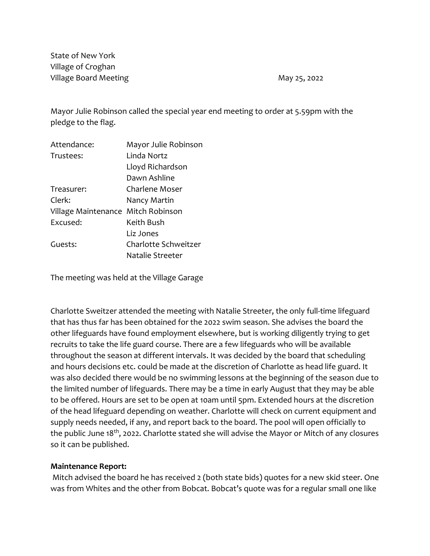State of New York Village of Croghan Village Board Meeting May 25, 2022

Mayor Julie Robinson called the special year end meeting to order at 5.59pm with the pledge to the flag.

| Attendance:                        | Mayor Julie Robinson |  |
|------------------------------------|----------------------|--|
| Trustees:                          | Linda Nortz          |  |
|                                    | Lloyd Richardson     |  |
|                                    | Dawn Ashline         |  |
| Treasurer:                         | Charlene Moser       |  |
| Clerk:                             | Nancy Martin         |  |
| Village Maintenance Mitch Robinson |                      |  |
| Excused:                           | Keith Bush           |  |
|                                    | Liz Jones            |  |
| Guests:                            | Charlotte Schweitzer |  |
|                                    | Natalie Streeter     |  |
|                                    |                      |  |

The meeting was held at the Village Garage

Charlotte Sweitzer attended the meeting with Natalie Streeter, the only full-time lifeguard that has thus far has been obtained for the 2022 swim season. She advises the board the other lifeguards have found employment elsewhere, but is working diligently trying to get recruits to take the life guard course. There are a few lifeguards who will be available throughout the season at different intervals. It was decided by the board that scheduling and hours decisions etc. could be made at the discretion of Charlotte as head life guard. It was also decided there would be no swimming lessons at the beginning of the season due to the limited number of lifeguards. There may be a time in early August that they may be able to be offered. Hours are set to be open at 10am until 5pm. Extended hours at the discretion of the head lifeguard depending on weather. Charlotte will check on current equipment and supply needs needed, if any, and report back to the board. The pool will open officially to the public June  $18<sup>th</sup>$ , 2022. Charlotte stated she will advise the Mayor or Mitch of any closures so it can be published.

## **Maintenance Report:**

Mitch advised the board he has received 2 (both state bids) quotes for a new skid steer. One was from Whites and the other from Bobcat. Bobcat's quote was for a regular small one like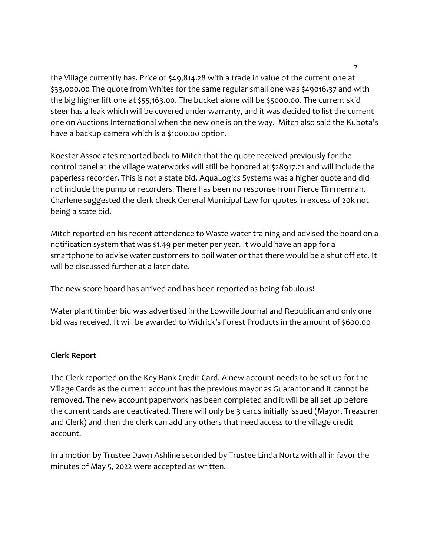the Village currently has. Price of \$49,814.28 with a trade in value of the current one at \$33,000.00 The quote from Whites for the same regular small one was \$49016.37 and with the big higher lift one at \$55,163.00. The bucket alone will be \$5000.00. The current skid steer has a leak which will be covered under warranty, and it was decided to list the current one on Auctions International when the new one is on the way. Mitch also said the Kubota's have a backup camera which is a \$1000.00 option.

Koester Associates reported back to Mitch that the quote received previously for the control panel at the village waterworks will still be honored at \$28917.21 and will include the paperless recorder. This is not a state bid. AquaLogics Systems was a higher quote and did not include the pump or recorders. There has been no response from Pierce Timmerman. Charlene suggested the clerk check General Municipal Law for quotes in excess of 20k not being a state bid.

Mitch reported on his recent attendance to Waste water training and advised the board on a notification system that was \$1.49 per meter per year. It would have an app for a smartphone to advise water customers to boil water or that there would be a shut off etc. It will be discussed further at a later date.

The new score board has arrived and has been reported as being fabulous!

Water plant timber bid was advertised in the Lowville Journal and Republican and only one bid was received. It will be awarded to Widrick's Forest Products in the amount of \$600.00

# **Clerk Report**

The Clerk reported on the Key Bank Credit Card. A new account needs to be set up for the Village Cards as the current account has the previous mayor as Guarantor and it cannot be removed. The new account paperwork has been completed and it will be all set up before the current cards are deactivated. There will only be 3 cards initially issued (Mayor, Treasurer and Clerk) and then the clerk can add any others that need access to the village credit account.

In a motion by Trustee Dawn Ashline seconded by Trustee Linda Nortz with all in favor the minutes of May 5, 2022 were accepted as written.

2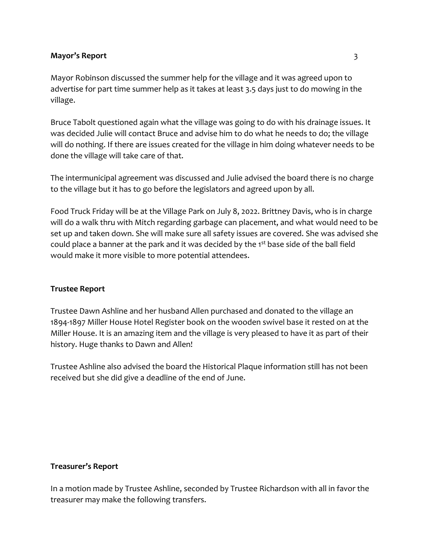## **Mayor's Report** 3

Mayor Robinson discussed the summer help for the village and it was agreed upon to advertise for part time summer help as it takes at least 3.5 days just to do mowing in the village.

Bruce Tabolt questioned again what the village was going to do with his drainage issues. It was decided Julie will contact Bruce and advise him to do what he needs to do; the village will do nothing. If there are issues created for the village in him doing whatever needs to be done the village will take care of that.

The intermunicipal agreement was discussed and Julie advised the board there is no charge to the village but it has to go before the legislators and agreed upon by all.

Food Truck Friday will be at the Village Park on July 8, 2022. Brittney Davis, who is in charge will do a walk thru with Mitch regarding garbage can placement, and what would need to be set up and taken down. She will make sure all safety issues are covered. She was advised she could place a banner at the park and it was decided by the 1<sup>st</sup> base side of the ball field would make it more visible to more potential attendees.

## **Trustee Report**

Trustee Dawn Ashline and her husband Allen purchased and donated to the village an 1894-1897 Miller House Hotel Register book on the wooden swivel base it rested on at the Miller House. It is an amazing item and the village is very pleased to have it as part of their history. Huge thanks to Dawn and Allen!

Trustee Ashline also advised the board the Historical Plaque information still has not been received but she did give a deadline of the end of June.

## **Treasurer's Report**

In a motion made by Trustee Ashline, seconded by Trustee Richardson with all in favor the treasurer may make the following transfers.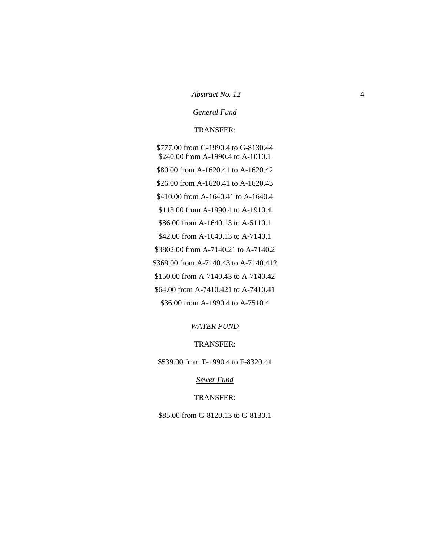#### *Abstract No. 12* 4

### *General Fund*

#### TRANSFER:

\$777.00 from G-1990.4 to G-8130.44 \$240.00 from A-1990.4 to A-1010.1 \$80.00 from A-1620.41 to A-1620.42 \$26.00 from A-1620.41 to A-1620.43 \$410.00 from A-1640.41 to A-1640.4 \$113.00 from A-1990.4 to A-1910.4 \$86.00 from A-1640.13 to A-5110.1 \$42.00 from A-1640.13 to A-7140.1 \$3802.00 from A-7140.21 to A-7140.2 \$369.00 from A-7140.43 to A-7140.412 \$150.00 from A-7140.43 to A-7140.42 \$64.00 from A-7410.421 to A-7410.41 \$36.00 from A-1990.4 to A-7510.4

#### *WATER FUND*

### TRANSFER:

\$539.00 from F-1990.4 to F-8320.41

*Sewer Fund*

### TRANSFER:

\$85.00 from G-8120.13 to G-8130.1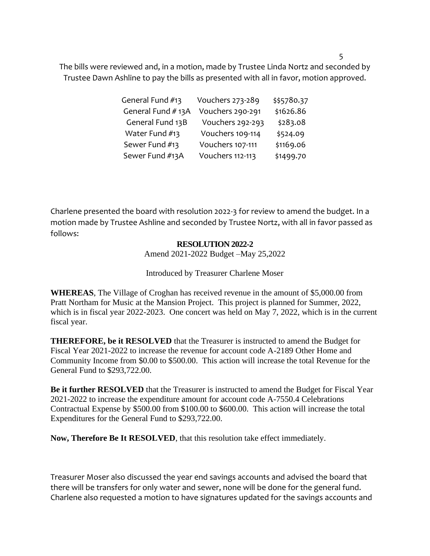The bills were reviewed and, in a motion, made by Trustee Linda Nortz and seconded by Trustee Dawn Ashline to pay the bills as presented with all in favor, motion approved.

| General Fund #13  | Vouchers 273-289 | \$\$5780.37 |
|-------------------|------------------|-------------|
| General Fund #13A | Vouchers 290-291 | \$1626.86   |
| General Fund 13B  | Vouchers 292-293 | \$283.08    |
| Water Fund #13    | Vouchers 109-114 | \$524.09    |
| Sewer Fund #13    | Vouchers 107-111 | \$1169.06   |
| Sewer Fund #13A   | Vouchers 112-113 | \$1499.70   |

Charlene presented the board with resolution 2022-3 for review to amend the budget. In a motion made by Trustee Ashline and seconded by Trustee Nortz, with all in favor passed as follows:

## **RESOLUTION 2022-2**

Amend 2021-2022 Budget –May 25,2022

## Introduced by Treasurer Charlene Moser

**WHEREAS**, The Village of Croghan has received revenue in the amount of \$5,000.00 from Pratt Northam for Music at the Mansion Project. This project is planned for Summer, 2022, which is in fiscal year 2022-2023. One concert was held on May 7, 2022, which is in the current fiscal year.

**THEREFORE, be it RESOLVED** that the Treasurer is instructed to amend the Budget for Fiscal Year 2021-2022 to increase the revenue for account code A-2189 Other Home and Community Income from \$0.00 to \$500.00. This action will increase the total Revenue for the General Fund to \$293,722.00.

**Be it further RESOLVED** that the Treasurer is instructed to amend the Budget for Fiscal Year 2021-2022 to increase the expenditure amount for account code A-7550.4 Celebrations Contractual Expense by \$500.00 from \$100.00 to \$600.00. This action will increase the total Expenditures for the General Fund to \$293,722.00.

**Now, Therefore Be It RESOLVED**, that this resolution take effect immediately.

Treasurer Moser also discussed the year end savings accounts and advised the board that there will be transfers for only water and sewer, none will be done for the general fund. Charlene also requested a motion to have signatures updated for the savings accounts and